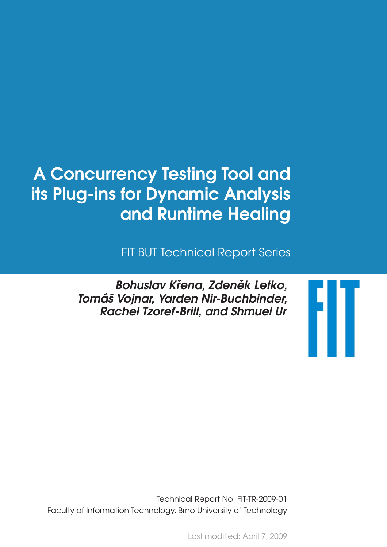# A Concurrency Testing Tool and its Plug-ins for Dynamic Analysis and Runtime Healing

FIT BUT Technical Report Series

Bohuslav Křena, Zdeněk Letko, Tomáš Vojnar, Yarden Nir-Buchbinder, Rachel Tzoref-Brill, and Shmuel Ur

Technical Report No. FIT-TR-2009-01 Faculty of Information Technology, Brno University of Technology

Last modified: April 7, 2009

H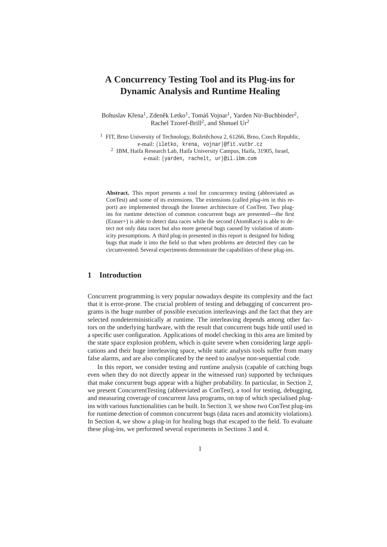# **A Concurrency Testing Tool and its Plug-ins for Dynamic Analysis and Runtime Healing**

Bohuslav Křena<sup>1</sup>, Zdeněk Letko<sup>1</sup>, Tomáš Vojnar<sup>1</sup>, Yarden Nir-Buchbinder<sup>2</sup>, Rachel Tzoref-Brill<sup>2</sup>, and Shmuel  $Ur^2$ 

<sup>1</sup> FIT, Brno University of Technology, Božetěchova 2, 61266, Brno, Czech Republic, e-mail: {iletko, krena, vojnar}@fit.vutbr.cz

2 IBM, Haifa Research Lab, Haifa University Campus, Haifa, 31905, Israel, e-mail: {yarden, rachelt, ur}@il.ibm.com

**Abstract.** This report presents a tool for concurrency testing (abbreviated as ConTest) and some of its extensions. The extensions (called *plug-ins* in this report) are implemented through the listener architecture of ConTest. Two plugins for runtime detection of common concurrent bugs are presented—the first (Eraser+) is able to detect data races while the second (AtomRace) is able to detect not only data races but also more general bugs caused by violation of atomicity presumptions. A third plug-in presented in this report is designed for hiding bugs that made it into the field so that when problems are detected they can be circumvented. Several experiments demonstrate the capabilities of these plug-ins.

# **1 Introduction**

Concurrent programming is very popular nowadays despite its complexity and the fact that it is error-prone. The crucial problem of testing and debugging of concurrent programs is the huge number of possible execution interleavings and the fact that they are selected nondeterministically at runtime. The interleaving depends among other factors on the underlying hardware, with the result that concurrent bugs hide until used in a specific user configuration. Applications of model checking in this area are limited by the state space explosion problem, which is quite severe when considering large applications and their huge interleaving space, while static analysis tools suffer from many false alarms, and are also complicated by the need to analyse non-sequential code.

In this report, we consider testing and runtime analysis (capable of catching bugs even when they do not directly appear in the witnessed run) supported by techniques that make concurrent bugs appear with a higher probability. In particular, in Section 2, we present ConcurrentTesting (abbreviated as ConTest), a tool for testing, debugging, and measuring coverage of concurrent Java programs, on top of which specialised plugins with various functionalities can be built. In Section 3, we show two ConTest plug-ins for runtime detection of common concurrent bugs (data races and atomicity violations). In Section 4, we show a plug-in for healing bugs that escaped to the field. To evaluate these plug-ins, we performed several experiments in Sections 3 and 4.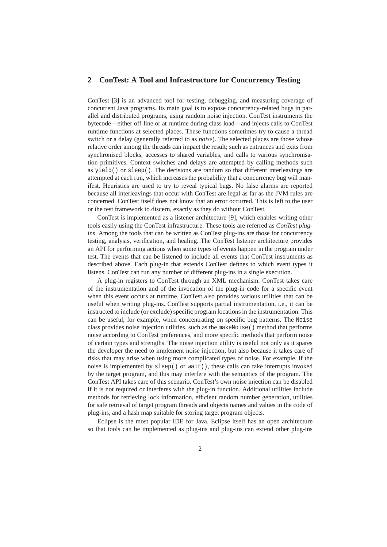## **2 ConTest: A Tool and Infrastructure for Concurrency Testing**

ConTest [3] is an advanced tool for testing, debugging, and measuring coverage of concurrent Java programs. Its main goal is to expose concurrency-related bugs in parallel and distributed programs, using random noise injection. ConTest instruments the bytecode—either off-line or at runtime during class load—and injects calls to ConTest runtime functions at selected places. These functions sometimes try to cause a thread switch or a delay (generally referred to as *noise*). The selected places are those whose relative order among the threads can impact the result; such as entrances and exits from synchronised blocks, accesses to shared variables, and calls to various synchronisation primitives. Context switches and delays are attempted by calling methods such as yield() or sleep(). The decisions are random so that different interleavings are attempted at each run, which increases the probability that a concurrency bug will manifest. Heuristics are used to try to reveal typical bugs. No false alarms are reported because all interleavings that occur with ConTest are legal as far as the JVM rules are concerned. ConTest itself does not know that an error occurred. This is left to the user or the test framework to discern, exactly as they do without ConTest.

ConTest is implemented as a listener architecture [9], which enables writing other tools easily using the ConTest infrastructure. These tools are referred as *ConTest plugins*. Among the tools that can be written as ConTest plug-ins are those for concurrency testing, analysis, verification, and healing. The ConTest listener architecture provides an API for performing actions when some types of events happen in the program under test. The events that can be listened to include all events that ConTest instruments as described above. Each plug-in that extends ConTest defines to which event types it listens. ConTest can run any number of different plug-ins in a single execution.

A plug-in registers to ConTest through an XML mechanism. ConTest takes care of the instrumentation and of the invocation of the plug-in code for a specific event when this event occurs at runtime. ConTest also provides various utilities that can be useful when writing plug-ins. ConTest supports partial instrumentation, i.e., it can be instructed to include (or exclude) specific program locations in the instrumentation. This can be useful, for example, when concentrating on specific bug patterns. The Noise class provides noise injection utilities, such as the makeNoise() method that performs noise according to ConTest preferences, and more specific methods that perform noise of certain types and strengths. The noise injection utility is useful not only as it spares the developer the need to implement noise injection, but also because it takes care of risks that may arise when using more complicated types of noise. For example, if the noise is implemented by sleep() or wait(), these calls can take interrupts invoked by the target program, and this may interfere with the semantics of the program. The ConTest API takes care of this scenario. ConTest's own noise injection can be disabled if it is not required or interferes with the plug-in function. Additional utilities include methods for retrieving lock information, efficient random number generation, utilities for safe retrieval of target program threads and objects names and values in the code of plug-ins, and a hash map suitable for storing target program objects.

Eclipse is the most popular IDE for Java. Eclipse itself has an open architecture so that tools can be implemented as plug-ins and plug-ins can extend other plug-ins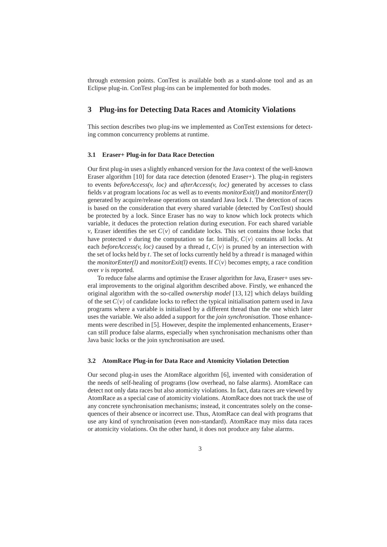through extension points. ConTest is available both as a stand-alone tool and as an Eclipse plug-in. ConTest plug-ins can be implemented for both modes.

# **3 Plug-ins for Detecting Data Races and Atomicity Violations**

This section describes two plug-ins we implemented as ConTest extensions for detecting common concurrency problems at runtime.

#### **3.1 Eraser+ Plug-in for Data Race Detection**

Our first plug-in uses a slightly enhanced version for the Java context of the well-known Eraser algorithm [10] for data race detection (denoted Eraser+). The plug-in registers to events *beforeAccess(v, loc)* and *afterAccess(v, loc)* generated by accesses to class fields *v* at program locations *loc* as well as to events *monitorExit(l)* and *monitorEnter(l)* generated by acquire/release operations on standard Java lock *l*. The detection of races is based on the consideration that every shared variable (detected by ConTest) should be protected by a lock. Since Eraser has no way to know which lock protects which variable, it deduces the protection relation during execution. For each shared variable *v*, Eraser identifies the set  $C(v)$  of candidate locks. This set contains those locks that have protected *v* during the computation so far. Initially,  $C(v)$  contains all locks. At each *beforeAccess(v, loc)* caused by a thread  $t$ ,  $C(v)$  is pruned by an intersection with the set of locks held by *t*. The set of locks currently held by a thread *t* is managed within the *monitorEnter(l)* and *monitorExit(l)* events. If  $C(v)$  becomes empty, a race condition over *v* is reported.

To reduce false alarms and optimise the Eraser algorithm for Java, Eraser+ uses several improvements to the original algorithm described above. Firstly, we enhanced the original algorithm with the so-called *ownership model* [13, 12] which delays building of the set  $C(v)$  of candidate locks to reflect the typical initialisation pattern used in Java programs where a variable is initialised by a different thread than the one which later uses the variable. We also added a support for the *join synchronisation*. Those enhancements were described in [5]. However, despite the implemented enhancements, Eraser+ can still produce false alarms, especially when synchronisation mechanisms other than Java basic locks or the join synchronisation are used.

#### **3.2 AtomRace Plug-in for Data Race and Atomicity Violation Detection**

Our second plug-in uses the AtomRace algorithm [6], invented with consideration of the needs of self-healing of programs (low overhead, no false alarms). AtomRace can detect not only data races but also atomicity violations. In fact, data races are viewed by AtomRace as a special case of atomicity violations. AtomRace does not track the use of any concrete synchronisation mechanisms; instead, it concentrates solely on the consequences of their absence or incorrect use. Thus, AtomRace can deal with programs that use any kind of synchronisation (even non-standard). AtomRace may miss data races or atomicity violations. On the other hand, it does not produce any false alarms.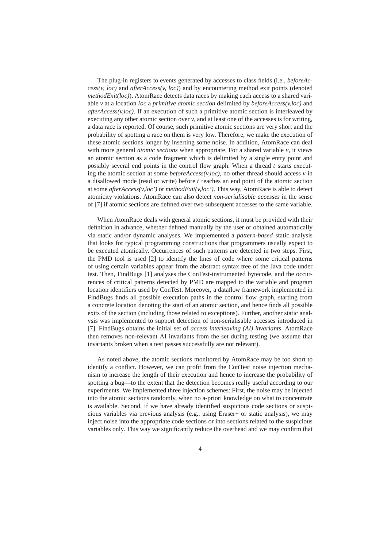The plug-in registers to events generated by accesses to class fields (i.e., *beforeAc-* $\text{cess}(v, loc)$  and *afterAccess(v, loc)*) and by encountering method exit points (denoted *methodExit(loc)*). AtomRace detects data races by making each access to a shared variable *v* at a location *loc* a *primitive atomic section* delimited by *beforeAccess(v,loc)* and *afterAccess(v,loc)*. If an execution of such a primitive atomic section is interleaved by executing any other atomic section over *v*, and at least one of the accesses is for writing, a data race is reported. Of course, such primitive atomic sections are very short and the probability of spotting a race on them is very low. Therefore, we make the execution of these atomic sections longer by inserting some noise. In addition, AtomRace can deal with more general *atomic sections* when appropriate. For a shared variable *v*, it views an atomic section as a code fragment which is delimited by a single entry point and possibly several end points in the control flow graph. When a thread *t* starts executing the atomic section at some *beforeAccess(v,loc)*, no other thread should access *v* in a disallowed mode (read or write) before *t* reaches an end point of the atomic section at some *afterAccess(v,loc')* or *methodExit(v,loc')*. This way, AtomRace is able to detect atomicity violations. AtomRace can also detect *non-serialisable accesses* in the sense of [7] if atomic sections are defined over two subsequent accesses to the same variable.

When AtomRace deals with general atomic sections, it must be provided with their definition in advance, whether defined manually by the user or obtained automatically via static and/or dynamic analyses. We implemented a *pattern-based* static analysis that looks for typical programming constructions that programmers usually expect to be executed atomically. Occurrences of such patterns are detected in two steps. First, the PMD tool is used [2] to identify the lines of code where some critical patterns of using certain variables appear from the abstract syntax tree of the Java code under test. Then, FindBugs [1] analyses the ConTest-instrumented bytecode, and the occurrences of critical patterns detected by PMD are mapped to the variable and program location identifiers used by ConTest. Moreover, a dataflow framework implemented in FindBugs finds all possible execution paths in the control flow graph, starting from a concrete location denoting the start of an atomic section, and hence finds all possible exits of the section (including those related to exceptions). Further, another static analysis was implemented to support detection of non-serialisable accesses introduced in [7]. FindBugs obtains the initial set of *access interleaving (AI) invariants*. AtomRace then removes non-relevant AI invariants from the set during testing (we assume that invariants broken when a test passes successfully are not relevant).

As noted above, the atomic sections monitored by AtomRace may be too short to identify a conflict. However, we can profit from the ConTest noise injection mechanism to increase the length of their execution and hence to increase the probability of spotting a bug—to the extent that the detection becomes really useful according to our experiments. We implemented three injection schemes: First, the noise may be injected into the atomic sections randomly, when no a-priori knowledge on what to concentrate is available. Second, if we have already identified suspicious code sections or suspicious variables via previous analysis (e.g., using Eraser+ or static analysis), we may inject noise into the appropriate code sections or into sections related to the suspicious variables only. This way we significantly reduce the overhead and we may confirm that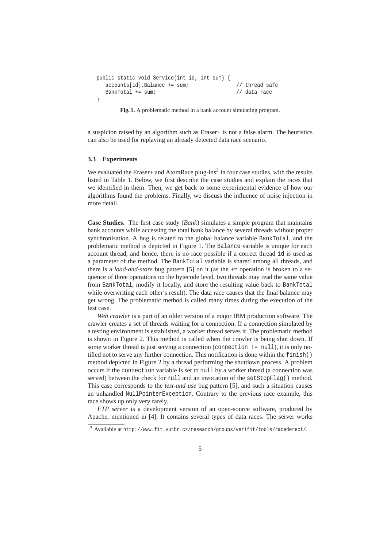```
public static void Service(int id, int sum) {
  accounts[id].Balance += sum; // thread safe
  BankTotal += sum; \frac{1}{2} // data race
}
```
**Fig. 1.** A problematic method in a bank account simulating program.

a suspicion raised by an algorithm such as Eraser+ is not a false alarm. The heuristics can also be used for replaying an already detected data race scenario.

#### **3.3 Experiments**

We evaluated the Eraser+ and AtomRace plug-ins<sup>3</sup> in four case studies, with the results listed in Table 1. Below, we first describe the case studies and explain the races that we identified in them. Then, we get back to some experimental evidence of how our algorithms found the problems. Finally, we discuss the influence of noise injection in more detail.

**Case Studies.** The first case study (*Bank*) simulates a simple program that maintains bank accounts while accessing the total bank balance by several threads without proper synchronisation. A bug is related to the global balance variable BankTotal, and the problematic method is depicted in Figure 1. The Balance variable is unique for each account thread, and hence, there is no race possible if a correct thread id is used as a parameter of the method. The BankTotal variable is shared among all threads, and there is a *load-and-store* bug pattern [5] on it (as the += operation is broken to a sequence of three operations on the bytecode level, two threads may read the same value from BankTotal, modify it locally, and store the resulting value back to BankTotal while overwriting each other's result). The data race causes that the final balance may get wrong. The problematic method is called many times during the execution of the test case.

*Web crawler* is a part of an older version of a major IBM production software. The crawler creates a set of threads waiting for a connection. If a connection simulated by a testing environment is established, a worker thread serves it. The problematic method is shown in Figure 2. This method is called when the crawler is being shut down. If some worker thread is just serving a connection (connection != null), it is only notified not to serve any further connection. This notification is done within the finish() method depicted in Figure 2 by a thread performing the shutdown process. A problem occurs if the connection variable is set to null by a worker thread (a connection was served) between the check for null and an invocation of the setStopFlag() method. This case corresponds to the *test-and-use* bug pattern [5], and such a situation causes an unhandled NullPointerException. Contrary to the previous race example, this race shows up only very rarely.

*FTP server* is a development version of an open-source software, produced by Apache, mentioned in [4]. It contains several types of data races. The server works

 $^3$  Available at http://www.fit.vutbr.cz/research/groups/verifit/tools/racedetect/.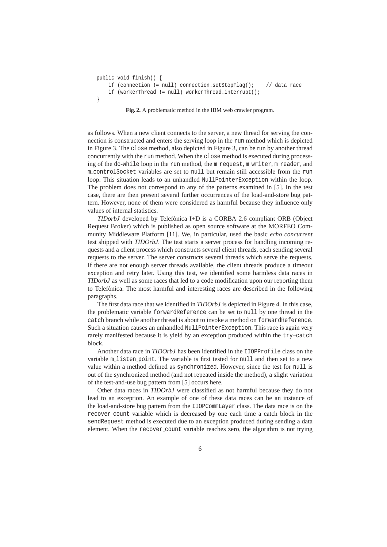```
public void finish() {
   if (connection != null) connection.setStopFlag(); // data race
    if (workerThread != null) workerThread.interrupt();
}
```
**Fig. 2.** A problematic method in the IBM web crawler program.

as follows. When a new client connects to the server, a new thread for serving the connection is constructed and enters the serving loop in the run method which is depicted in Figure 3. The close method, also depicted in Figure 3, can be run by another thread concurrently with the run method. When the close method is executed during processing of the do-while loop in the run method, the m\_request, m\_writer, m\_reader, and m controlSocket variables are set to null but remain still accessible from the run loop. This situation leads to an unhandled NullPointerException within the loop. The problem does not correspond to any of the patterns examined in [5]. In the test case, there are then present several further occurrences of the load-and-store bug pattern. However, none of them were considered as harmful because they influence only values of internal statistics.

*TIDorbJ* developed by Telefónica I+D is a CORBA 2.6 compliant ORB (Object Request Broker) which is published as open source software at the MORFEO Community Middleware Platform [11]. We, in particular, used the basic *echo concurrent* test shipped with *TIDOrbJ*. The test starts a server process for handling incoming requests and a client process which constructs several client threads, each sending several requests to the server. The server constructs several threads which serve the requests. If there are not enough server threads available, the client threads produce a timeout exception and retry later. Using this test, we identified some harmless data races in *TIDorbJ* as well as some races that led to a code modification upon our reporting them to Telefónica. The most harmful and interesting races are described in the following paragraphs.

The first data race that we identified in *TIDOrbJ* is depicted in Figure 4. In this case, the problematic variable forwardReference can be set to null by one thread in the catch branch while another thread is about to invoke a method on forwardReference. Such a situation causes an unhandled NullPointerException. This race is again very rarely manifested because it is yield by an exception produced within the try–catch block.

Another data race in *TIDOrbJ* has been identified in the IIOPProfile class on the variable m\_listen\_point. The variable is first tested for null and then set to a new value within a method defined as synchronized. However, since the test for null is out of the synchronized method (and not repeated inside the method), a slight variation of the test-and-use bug pattern from [5] occurs here.

Other data races in *TIDOrbJ* were classified as not harmful because they do not lead to an exception. An example of one of these data races can be an instance of the load-and-store bug pattern from the IIOPCommLayer class. The data race is on the recover count variable which is decreased by one each time a catch block in the sendRequest method is executed due to an exception produced during sending a data element. When the recover count variable reaches zero, the algorithm is not trying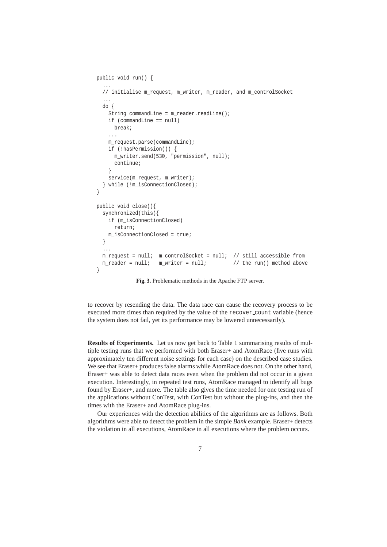```
public void run() {
  ...
  // initialise m_request, m_writer, m_reader, and m_controlSocket
  ...
  do {
    String commandLine = m_reader.readLine();
    if (commandLine == null)
      break;
    ...
    m_request.parse(commandLine);
    if (!hasPermission()) {
      m_writer.send(530, "permission", null);
      continue;
    }
    service(m_request, m_writer);
  } while (!m_isConnectionClosed);
}
public void close(){
  synchronized(this){
    if (m_isConnectionClosed)
     return;
    m_isConnectionClosed = true;
  }
  ...
  m_request = null; m_controlSocket = null; // still accessible from
  m<sub>reader</sub> = null; m<sub>writer</sub> = null; // the run() method above
}
```
**Fig. 3.** Problematic methods in the Apache FTP server.

to recover by resending the data. The data race can cause the recovery process to be executed more times than required by the value of the recover\_count variable (hence the system does not fail, yet its performance may be lowered unnecessarily).

**Results of Experiments.** Let us now get back to Table 1 summarising results of multiple testing runs that we performed with both Eraser+ and AtomRace (five runs with approximately ten different noise settings for each case) on the described case studies. We see that Eraser+ produces false alarms while AtomRace does not. On the other hand, Eraser+ was able to detect data races even when the problem did not occur in a given execution. Interestingly, in repeated test runs, AtomRace managed to identify all bugs found by Eraser+, and more. The table also gives the time needed for one testing run of the applications without ConTest, with ConTest but without the plug-ins, and then the times with the Eraser+ and AtomRace plug-ins.

Our experiences with the detection abilities of the algorithms are as follows. Both algorithms were able to detect the problem in the simple *Bank* example. Eraser+ detects the violation in all executions, AtomRace in all executions where the problem occurs.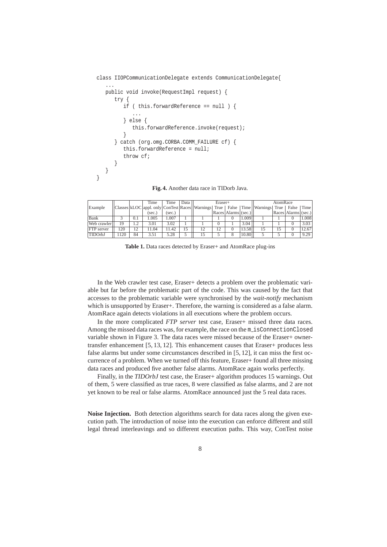```
class IIOPCommunicationDelegate extends CommunicationDelegate{
   ...
  public void invoke(RequestImpl request) {
     try {
         if ( this.forwardReference == null ) {
            ...
         } else {
            this.forwardReference.invoke(request);
         }
      } catch (org.omg.CORBA.COMM_FAILURE cf) {
         this.forwardReference = null;
         throw cf;
      }
   }
}
```
**Fig. 4.** Another data race in TIDorb Java.

|             |     |     | Time                                                                                                          | Time   | Data II | Eraser+ |    |                                       | AtomRace |    |  |                                                         |       |
|-------------|-----|-----|---------------------------------------------------------------------------------------------------------------|--------|---------|---------|----|---------------------------------------|----------|----|--|---------------------------------------------------------|-------|
| Example     |     |     | Classes  kLOC  appl. only  ConTest  Races  Warnings  True    False    Time   Warnings   True    False    Time |        |         |         |    |                                       |          |    |  |                                                         |       |
|             |     |     | (sec.)                                                                                                        | (sec.) |         |         |    | $\text{Races}$ Alarms $\text{(sec.)}$ |          |    |  | $\lvert$ Races $\lvert$ Alarms $\lvert$ (sec.) $\lvert$ |       |
| Bank        |     | 0.1 | 1.005                                                                                                         | 1.007  |         |         |    |                                       | 1.009    |    |  |                                                         | 1.008 |
| Web crawler | 19  | 1.2 | 3.01                                                                                                          | 3.02   |         |         |    |                                       | 3.04     |    |  |                                                         | 3.03  |
| FTP server  | 120 | 12  | 11.04                                                                                                         | 11.42  | 15      | 12      | 12 |                                       | 13.58    | 15 |  |                                                         | 12.67 |
| TIDOrbJ     | 120 | 84  | 3.51                                                                                                          | 5.28   |         |         |    |                                       | 10.80    |    |  |                                                         | 9.29  |

**Table 1.** Data races detected by Eraser+ and AtomRace plug-ins

In the Web crawler test case, Eraser+ detects a problem over the problematic variable but far before the problematic part of the code. This was caused by the fact that accesses to the problematic variable were synchronised by the *wait-notify* mechanism which is unsupported by Eraser+. Therefore, the warning is considered as a false alarm. AtomRace again detects violations in all executions where the problem occurs.

In the more complicated *FTP server* test case, Eraser+ missed three data races. Among the missed data races was, for example, the race on the m\_isConnectionClosed variable shown in Figure 3. The data races were missed because of the Eraser+ ownertransfer enhancement [5, 13, 12]. This enhancement causes that Eraser+ produces less false alarms but under some circumstances described in [5, 12], it can miss the first occurrence of a problem. When we turned off this feature, Eraser+ found all three missing data races and produced five another false alarms. AtomRace again works perfectly.

Finally, in the *TIDOrbJ* test case, the Eraser+ algorithm produces 15 warnings. Out of them, 5 were classified as true races, 8 were classified as false alarms, and 2 are not yet known to be real or false alarms. AtomRace announced just the 5 real data races.

**Noise Injection.** Both detection algorithms search for data races along the given execution path. The introduction of noise into the execution can enforce different and still legal thread interleavings and so different execution paths. This way, ConTest noise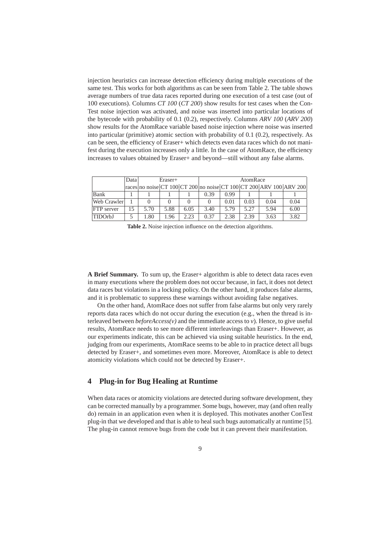injection heuristics can increase detection efficiency during multiple executions of the same test. This works for both algorithms as can be seen from Table 2. The table shows average numbers of true data races reported during one execution of a test case (out of 100 executions). Columns *CT 100* (*CT 200*) show results for test cases when the Con-Test noise injection was activated, and noise was inserted into particular locations of the bytecode with probability of 0.1 (0.2), respectively. Columns *ARV 100* (*ARV 200*) show results for the AtomRace variable based noise injection where noise was inserted into particular (primitive) atomic section with probability of 0.1 (0.2), respectively. As can be seen, the efficiency of Eraser+ which detects even data races which do not manifest during the execution increases only a little. In the case of AtomRace, the efficiency increases to values obtained by Eraser+ and beyond—still without any false alarms.

|                   | Data <sup>1</sup> |      | Eraser+ |      | AtomRace |      |      |                                                                     |      |  |
|-------------------|-------------------|------|---------|------|----------|------|------|---------------------------------------------------------------------|------|--|
|                   |                   |      |         |      |          |      |      | races no noise CT 100 CT 200 no noise CT 100 CT 200 ARV 100 ARV 200 |      |  |
| Bank              |                   |      |         |      | 0.39     | 0.99 |      |                                                                     |      |  |
| Web Crawler       |                   |      |         |      |          | 0.01 | 0.03 | 0.04                                                                | 0.04 |  |
| <b>FTP</b> server | 15                | 5.70 | 5.88    | 6.05 | 3.40     | 5.79 | 5.27 | 5.94                                                                | 6.00 |  |
| TIDOrbJ           |                   | 1.80 | 1.96    | 2.23 | 0.37     | 2.38 | 2.39 | 3.63                                                                | 3.82 |  |

**Table 2.** Noise injection influence on the detection algorithms.

**A Brief Summary.** To sum up, the Eraser + algorithm is able to detect data races even in many executions where the problem does not occur because, in fact, it does not detect data races but violations in a locking policy. On the other hand, it produces false alarms, and it is problematic to suppress these warnings without avoiding false negatives.

On the other hand, AtomRace does not suffer from false alarms but only very rarely reports data races which do not occur during the execution (e.g., when the thread is interleaved between  $beforeAccess(v)$  and the immediate access to *v*). Hence, to give useful results, AtomRace needs to see more different interleavings than Eraser+. However, as our experiments indicate, this can be achieved via using suitable heuristics. In the end, judging from our experiments, AtomRace seems to be able to in practice detect all bugs detected by Eraser+, and sometimes even more. Moreover, AtomRace is able to detect atomicity violations which could not be detected by Eraser+.

# **4 Plug-in for Bug Healing at Runtime**

When data races or atomicity violations are detected during software development, they can be corrected manually by a programmer. Some bugs, however, may (and often really do) remain in an application even when it is deployed. This motivates another ConTest plug-in that we developed and that is able to heal such bugs automatically at runtime [5]. The plug-in cannot remove bugs from the code but it can prevent their manifestation.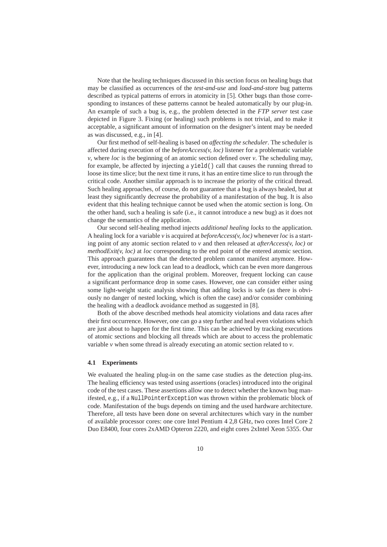Note that the healing techniques discussed in this section focus on healing bugs that may be classified as occurrences of the *test-and-use* and *load-and-store* bug patterns described as typical patterns of errors in atomicity in [5]. Other bugs than those corresponding to instances of these patterns cannot be healed automatically by our plug-in. An example of such a bug is, e.g., the problem detected in the *FTP server* test case depicted in Figure 3. Fixing (or healing) such problems is not trivial, and to make it acceptable, a significant amount of information on the designer's intent may be needed as was discussed, e.g., in [4].

Our first method of self-healing is based on *affecting the scheduler*. The scheduler is affected during execution of the *beforeAccess(v, loc)* listener for a problematic variable *v*, where *loc* is the beginning of an atomic section defined over *v*. The scheduling may, for example, be affected by injecting a yield() call that causes the running thread to loose its time slice; but the next time it runs, it has an entire time slice to run through the critical code. Another similar approach is to increase the priority of the critical thread. Such healing approaches, of course, do not guarantee that a bug is always healed, but at least they significantly decrease the probability of a manifestation of the bug. It is also evident that this healing technique cannot be used when the atomic section is long. On the other hand, such a healing is safe (i.e., it cannot introduce a new bug) as it does not change the semantics of the application.

Our second self-healing method injects *additional healing locks* to the application. A healing lock for a variable *v* is acquired at *beforeAccess(v, loc)* whenever *loc* is a starting point of any atomic section related to *v* and then released at *afterAccess(v, loc)* or *methodExit(v, loc)* at *loc* corresponding to the end point of the entered atomic section. This approach guarantees that the detected problem cannot manifest anymore. However, introducing a new lock can lead to a deadlock, which can be even more dangerous for the application than the original problem. Moreover, frequent locking can cause a significant performance drop in some cases. However, one can consider either using some light-weight static analysis showing that adding locks is safe (as there is obviously no danger of nested locking, which is often the case) and/or consider combining the healing with a deadlock avoidance method as suggested in [8].

Both of the above described methods heal atomicity violations and data races after their first occurrence. However, one can go a step further and heal even violations which are just about to happen for the first time. This can be achieved by tracking executions of atomic sections and blocking all threads which are about to access the problematic variable *v* when some thread is already executing an atomic section related to *v*.

#### **4.1 Experiments**

We evaluated the healing plug-in on the same case studies as the detection plug-ins. The healing efficiency was tested using assertions (oracles) introduced into the original code of the test cases. These assertions allow one to detect whether the known bug manifested, e.g., if a NullPointerException was thrown within the problematic block of code. Manifestation of the bugs depends on timing and the used hardware architecture. Therefore, all tests have been done on several architectures which vary in the number of available processor cores: one core Intel Pentium 4 2,8 GHz, two cores Intel Core 2 Duo E8400, four cores 2xAMD Opteron 2220, and eight cores 2xIntel Xeon 5355. Our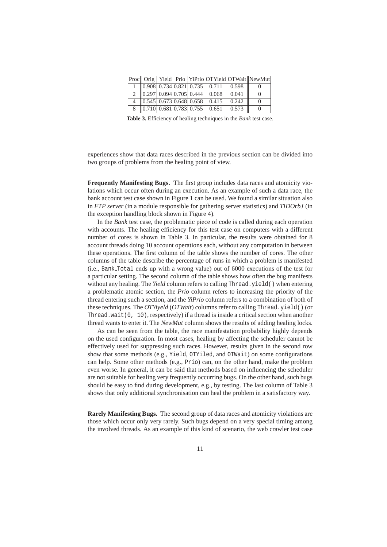|  |  |                                                           |                                                                              |       | Proc   Orig   Yield   Prio   YiPrio   OTYield   OTWait   NewMut |
|--|--|-----------------------------------------------------------|------------------------------------------------------------------------------|-------|-----------------------------------------------------------------|
|  |  |                                                           | $\left  0.908 \right  0.734 \left  0.821 \right  0.735 \left  0.711 \right $ | 0.598 |                                                                 |
|  |  | 2 $\vert 0.297 \vert 0.094 \vert 0.705 \vert 0.444 \vert$ | 0.068                                                                        | 0.041 |                                                                 |
|  |  | $\left  0.545 \right  0.673 \left  0.648 \right  0.658$   | 0.415                                                                        | 0.242 |                                                                 |
|  |  |                                                           | $\left  0.710 \right  0.681 \left  0.783 \right  0.755 \left  0.651 \right $ | 0.573 |                                                                 |

**Table 3.** Efficiency of healing techniques in the *Bank* test case.

experiences show that data races described in the previous section can be divided into two groups of problems from the healing point of view.

**Frequently Manifesting Bugs.** The first group includes data races and atomicity violations which occur often during an execution. As an example of such a data race, the bank account test case shown in Figure 1 can be used. We found a similar situation also in *FTP server* (in a module responsible for gathering server statistics) and *TIDOrbJ* (in the exception handling block shown in Figure 4).

In the *Bank* test case, the problematic piece of code is called during each operation with accounts. The healing efficiency for this test case on computers with a different number of cores is shown in Table 3. In particular, the results were obtained for 8 account threads doing 10 account operations each, without any computation in between these operations. The first column of the table shows the number of cores. The other columns of the table describe the percentage of runs in which a problem is manifested (i.e., Bank Total ends up with a wrong value) out of 6000 executions of the test for a particular setting. The second column of the table shows how often the bug manifests without any healing. The *Yield* column refers to calling Thread.yield() when entering a problematic atomic section, the *Prio* column refers to increasing the priority of the thread entering such a section, and the *YiPrio* column refers to a combination of both of these techniques. The *OTYiyeld* (*OTWait*) columns refer to calling Thread.yield() (or Thread.wait(0, 10), respectively) if a thread is inside a critical section when another thread wants to enter it. The *NewMut* column shows the results of adding healing locks.

As can be seen from the table, the race manifestation probability highly depends on the used configuration. In most cases, healing by affecting the scheduler cannot be effectively used for suppressing such races. However, results given in the second row show that some methods (e.g., Yield, OTYiled, and OTWait) on some configurations can help. Some other methods (e.g., Prio) can, on the other hand, make the problem even worse. In general, it can be said that methods based on influencing the scheduler are not suitable for healing very frequently occurring bugs. On the other hand, such bugs should be easy to find during development, e.g., by testing. The last column of Table 3 shows that only additional synchronisation can heal the problem in a satisfactory way.

**Rarely Manifesting Bugs.** The second group of data races and atomicity violations are those which occur only very rarely. Such bugs depend on a very special timing among the involved threads. As an example of this kind of scenario, the web crawler test case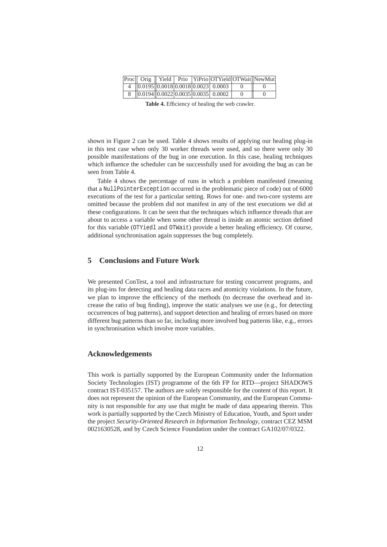|  |  |                                                    | Proc    Orig    Yield   Prio   YiPrio   OTYield   OTWait    NewMut |
|--|--|----------------------------------------------------|--------------------------------------------------------------------|
|  |  | $4$   0.0195  0.0018 0.0018 0.0023  0.0003         |                                                                    |
|  |  | $8 \quad  0.0194   0.0022  0.0035  0.0035  0.0002$ |                                                                    |

**Table 4.** Efficiency of healing the web crawler.

shown in Figure 2 can be used. Table 4 shows results of applying our healing plug-in in this test case when only 30 worker threads were used, and so there were only 30 possible manifestations of the bug in one execution. In this case, healing techniques which influence the scheduler can be successfully used for avoiding the bug as can be seen from Table 4.

Table 4 shows the percentage of runs in which a problem manifested (meaning that a NullPointerException occurred in the problematic piece of code) out of 6000 executions of the test for a particular setting. Rows for one- and two-core systems are omitted because the problem did not manifest in any of the test executions we did at these configurations. It can be seen that the techniques which influence threads that are about to access a variable when some other thread is inside an atomic section defined for this variable (OTYiedl and OTWait) provide a better healing efficiency. Of course, additional synchronisation again suppresses the bug completely.

# **5 Conclusions and Future Work**

We presented ConTest, a tool and infrastructure for testing concurrent programs, and its plug-ins for detecting and healing data races and atomicity violations. In the future, we plan to improve the efficiency of the methods (to decrease the overhead and increase the ratio of bug finding), improve the static analyses we use (e.g., for detecting occurrences of bug patterns), and support detection and healing of errors based on more different bug patterns than so far, including more involved bug patterns like, e.g., errors in synchronisation which involve more variables.

# **Acknowledgements**

This work is partially supported by the European Community under the Information Society Technologies (IST) programme of the 6th FP for RTD—project SHADOWS contract IST-035157. The authors are solely responsible for the content of this report. It does not represent the opinion of the European Community, and the European Community is not responsible for any use that might be made of data appearing therein. This work is partially supported by the Czech Ministry of Education, Youth, and Sport under the project *Security-Oriented Research in Information Technology*, contract CEZ MSM 0021630528, and by Czech Science Foundation under the contract GA102/07/0322.